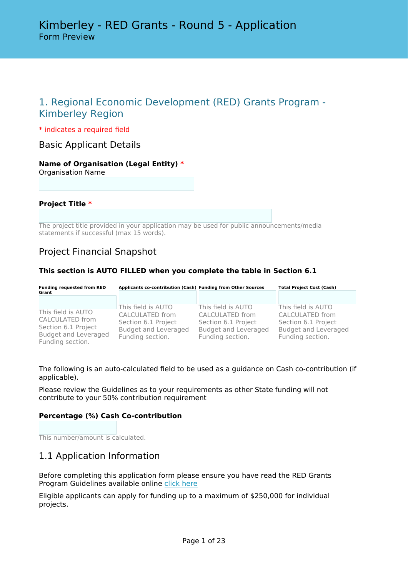# 1. Regional Economic Development (RED) Grants Program - Kimberley Region

\* indicates a required field

Basic Applicant Details

#### **Name of Organisation (Legal Entity) \*** Organisation Name

**Project Title \***

The project title provided in your application may be used for public announcements/media statements if successful (max 15 words).

### Project Financial Snapshot

### **This section is AUTO FILLED when you complete the table in Section 6.1**

| <b>Funding requested from RED</b><br>Grant                                                                      | Applicants co-contribution (Cash) Funding from Other Sources                                                    |                                                                                                          | <b>Total Project Cost (Cash)</b>                                                                                |  |
|-----------------------------------------------------------------------------------------------------------------|-----------------------------------------------------------------------------------------------------------------|----------------------------------------------------------------------------------------------------------|-----------------------------------------------------------------------------------------------------------------|--|
|                                                                                                                 |                                                                                                                 |                                                                                                          |                                                                                                                 |  |
| This field is AUTO<br>CALCULATED from<br>Section 6.1 Project<br><b>Budget and Leveraged</b><br>Funding section. | This field is AUTO<br>CALCULATED from<br>Section 6.1 Project<br><b>Budget and Leveraged</b><br>Funding section. | This field is AUTO<br>CALCULATED from<br>Section 6.1 Project<br>Budget and Leveraged<br>Funding section. | This field is AUTO<br>CALCULATED from<br>Section 6.1 Project<br><b>Budget and Leveraged</b><br>Funding section. |  |

The following is an auto-calculated field to be used as a guidance on Cash co-contribution (if applicable).

Please review the Guidelines as to your requirements as other State funding will not contribute to your 50% contribution requirement

### **Percentage (%) Cash Co-contribution**

This number/amount is calculated.

### 1.1 Application Information

Before completing this application form please ensure you have read the RED Grants Program Guidelines available online [click here](https://kdc.wa.gov.au/red-grants/)

Eligible applicants can apply for funding up to a maximum of \$250,000 for individual projects.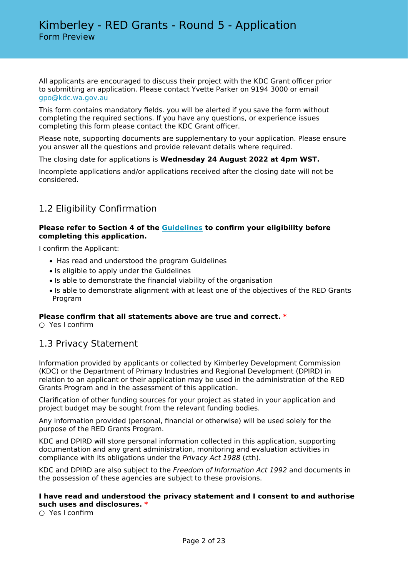All applicants are encouraged to discuss their project with the KDC Grant officer prior to submitting an application. Please contact Yvette Parker on 9194 3000 or email [gpo@kdc.wa.gov.au](mailto:gpo@kdc.wa.gov.au)

This form contains mandatory fields. you will be alerted if you save the form without completing the required sections. If you have any questions, or experience issues completing this form please contact the KDC Grant officer.

Please note, supporting documents are supplementary to your application. Please ensure you answer all the questions and provide relevant details where required.

The closing date for applications is **Wednesday 24 August 2022 at 4pm WST.**

Incomplete applications and/or applications received after the closing date will not be considered.

# 1.2 Eligibility Confirmation

### **Please refer to Section 4 of the [Guidelines](https://kdc.wa.gov.au/red-grants/) to confirm your eligibility before completing this application.**

I confirm the Applicant:

- Has read and understood the program Guidelines
- Is eligible to apply under the Guidelines
- Is able to demonstrate the financial viability of the organisation
- Is able to demonstrate alignment with at least one of the objectives of the RED Grants Program

### **Please confirm that all statements above are true and correct. \***

 $\bigcirc$  Yes I confirm

### 1.3 Privacy Statement

Information provided by applicants or collected by Kimberley Development Commission (KDC) or the Department of Primary Industries and Regional Development (DPIRD) in relation to an applicant or their application may be used in the administration of the RED Grants Program and in the assessment of this application.

Clarification of other funding sources for your project as stated in your application and project budget may be sought from the relevant funding bodies.

Any information provided (personal, financial or otherwise) will be used solely for the purpose of the RED Grants Program.

KDC and DPIRD will store personal information collected in this application, supporting documentation and any grant administration, monitoring and evaluation activities in compliance with its obligations under the *Privacy Act 1988* (cth).

KDC and DPIRD are also subject to the *Freedom of Information Act 1992* and documents in the possession of these agencies are subject to these provisions.

### **I have read and understood the privacy statement and I consent to and authorise such uses and disclosures. \***

○ Yes I confirm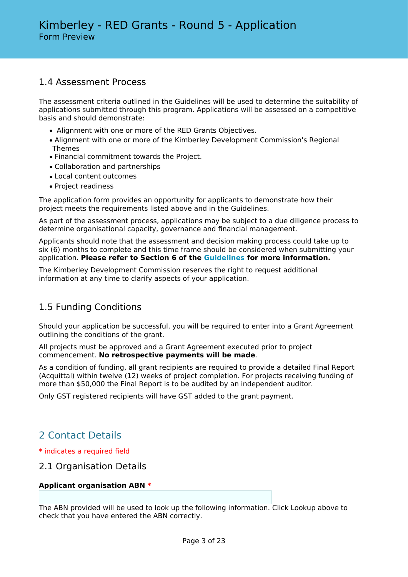### 1.4 Assessment Process

The assessment criteria outlined in the Guidelines will be used to determine the suitability of applications submitted through this program. Applications will be assessed on a competitive basis and should demonstrate:

- Alignment with one or more of the RED Grants Objectives.
- Alignment with one or more of the Kimberley Development Commission's Regional Themes
- Financial commitment towards the Project.
- Collaboration and partnerships
- Local content outcomes
- Project readiness

The application form provides an opportunity for applicants to demonstrate how their project meets the requirements listed above and in the Guidelines.

As part of the assessment process, applications may be subject to a due diligence process to determine organisational capacity, governance and financial management.

Applicants should note that the assessment and decision making process could take up to six (6) months to complete and this time frame should be considered when submitting your application. **Please refer to Section 6 of the [Guidelines](https://kdc.wa.gov.au/red-grants/) for more information.**

The Kimberley Development Commission reserves the right to request additional information at any time to clarify aspects of your application.

### 1.5 Funding Conditions

Should your application be successful, you will be required to enter into a Grant Agreement outlining the conditions of the grant.

All projects must be approved and a Grant Agreement executed prior to project commencement. **No retrospective payments will be made**.

As a condition of funding, all grant recipients are required to provide a detailed Final Report (Acquittal) within twelve (12) weeks of project completion. For projects receiving funding of more than \$50,000 the Final Report is to be audited by an independent auditor.

Only GST registered recipients will have GST added to the grant payment.

# 2 Contact Details

### \* indicates a required field

### 2.1 Organisation Details

### **Applicant organisation ABN \***

The ABN provided will be used to look up the following information. Click Lookup above to check that you have entered the ABN correctly.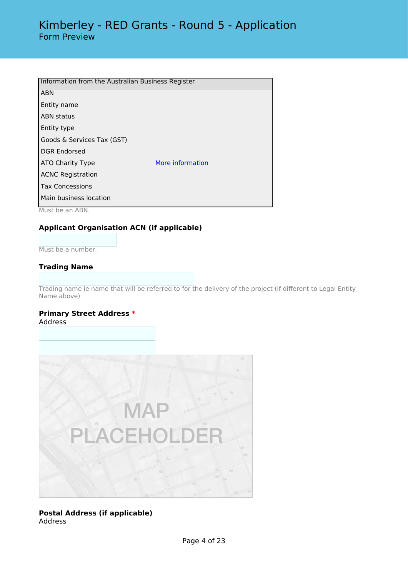| Information from the Australian Business Register |                  |  |  |  |  |
|---------------------------------------------------|------------------|--|--|--|--|
| <b>ABN</b>                                        |                  |  |  |  |  |
| Entity name                                       |                  |  |  |  |  |
| <b>ABN</b> status                                 |                  |  |  |  |  |
| Entity type                                       |                  |  |  |  |  |
| Goods & Services Tax (GST)                        |                  |  |  |  |  |
| <b>DGR Endorsed</b>                               |                  |  |  |  |  |
| ATO Charity Type                                  | More information |  |  |  |  |
| <b>ACNC Registration</b>                          |                  |  |  |  |  |
| <b>Tax Concessions</b>                            |                  |  |  |  |  |
| Main business location                            |                  |  |  |  |  |

Must be an ABN.

### **Applicant Organisation ACN (if applicable)**

Must be a number.

### **Trading Name**

Trading name ie name that will be referred to for the delivery of the project (if different to Legal Entity Name above)

#### **Primary Street Address \*** Address



### **Postal Address (if applicable)** Address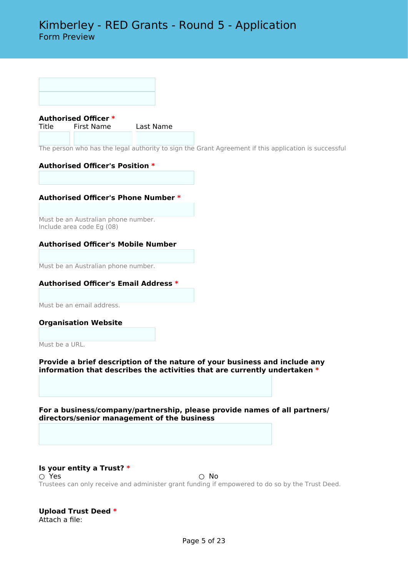

Title First Name Last Name

The person who has the legal authority to sign the Grant Agreement if this application is successful

### **Authorised Officer's Position \***

### **Authorised Officer's Phone Number \***

Must be an Australian phone number. Include area code Eg (08)

### **Authorised Officer's Mobile Number**

Must be an Australian phone number.

### **Authorised Officer's Email Address \***

Must be an email address.

**Organisation Website**

Must be a URL.

**Provide a brief description of the nature of your business and include any information that describes the activities that are currently undertaken \***

**For a business/company/partnership, please provide names of all partners/ directors/senior management of the business**

#### **Is your entity a Trust? \*** ○ Yes ○ No Trustees can only receive and administer grant funding if empowered to do so by the Trust Deed.

#### **Upload Trust Deed \*** Attach a file: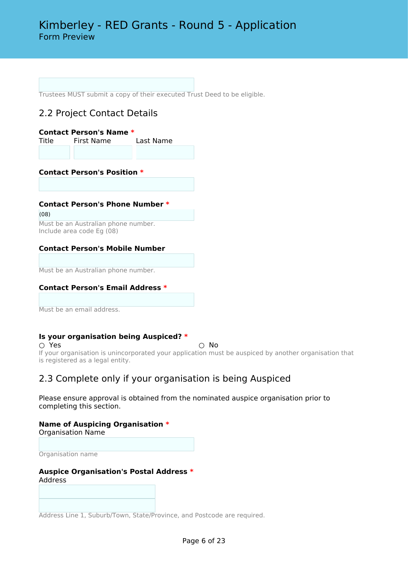Trustees MUST submit a copy of their executed Trust Deed to be eligible.

# 2.2 Project Contact Details

| Contact Person's Name * |            |           |  |  |  |  |
|-------------------------|------------|-----------|--|--|--|--|
| Title                   | First Name | Last Name |  |  |  |  |
|                         |            |           |  |  |  |  |

**Contact Person's Position \***

### **Contact Person's Phone Number \***

(08)

Must be an Australian phone number. Include area code Eg (08)

### **Contact Person's Mobile Number**

Must be an Australian phone number.

### **Contact Person's Email Address \***

Must be an email address.

### **Is your organisation being Auspiced? \***

○ Yes ○ No If your organisation is unincorporated your application must be auspiced by another organisation that is registered as a legal entity.

### 2.3 Complete only if your organisation is being Auspiced

Please ensure approval is obtained from the nominated auspice organisation prior to completing this section.

# **Name of Auspicing Organisation \***

Organisation Name

Organisation name

### **Auspice Organisation's Postal Address \*** Address

Address Line 1, Suburb/Town, State/Province, and Postcode are required.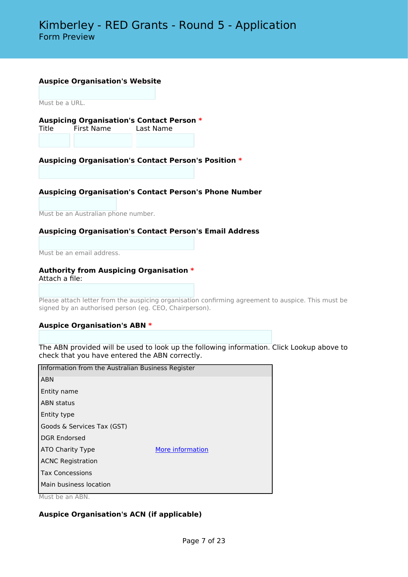#### **Auspice Organisation's Website**

Must be a URL.

**Auspicing Organisation's Contact Person \*** Title First Name Last Name

### **Auspicing Organisation's Contact Person's Position \***

#### **Auspicing Organisation's Contact Person's Phone Number**

Must be an Australian phone number.

#### **Auspicing Organisation's Contact Person's Email Address**

Must be an email address.

#### **Authority from Auspicing Organisation \*** Attach a file:

Please attach letter from the auspicing organisation confirming agreement to auspice. This must be signed by an authorised person (eg. CEO, Chairperson).

#### **Auspice Organisation's ABN \***

The ABN provided will be used to look up the following information. Click Lookup above to check that you have entered the ABN correctly.

|                               | Information from the Australian Business Register |  |  |  |  |
|-------------------------------|---------------------------------------------------|--|--|--|--|
| <b>ABN</b>                    |                                                   |  |  |  |  |
| Entity name                   |                                                   |  |  |  |  |
| <b>ABN status</b>             |                                                   |  |  |  |  |
| Entity type                   |                                                   |  |  |  |  |
| Goods & Services Tax (GST)    |                                                   |  |  |  |  |
| <b>DGR Endorsed</b>           |                                                   |  |  |  |  |
| ATO Charity Type              | More information                                  |  |  |  |  |
| <b>ACNC Registration</b>      |                                                   |  |  |  |  |
| <b>Tax Concessions</b>        |                                                   |  |  |  |  |
| Main business location        |                                                   |  |  |  |  |
| $M_{\text{total}}$ $A \cap M$ |                                                   |  |  |  |  |

Must be an ABN.

### **Auspice Organisation's ACN (if applicable)**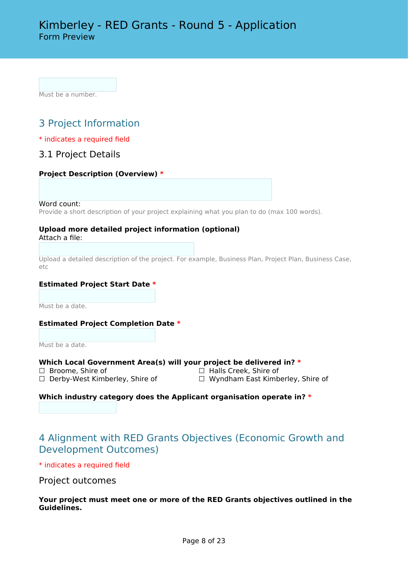Must be a number.

# 3 Project Information

### \* indicates a required field

### 3.1 Project Details

### **Project Description (Overview) \***

Word count:

Provide a short description of your project explaining what you plan to do (max 100 words).

### **Upload more detailed project information (optional)**

Attach a file:

Upload a detailed description of the project. For example, Business Plan, Project Plan, Business Case, etc

### **Estimated Project Start Date \***

Must be a date.

### **Estimated Project Completion Date \***

Must be a date.

# **Which Local Government Area(s) will your project be delivered in? \***<br>□ Broome, Shire of □ Broome, Shire of

- 
- ☐ Broome, Shire of ☐ Halls Creek, Shire of
	-
- □ Wyndham East Kimberley, Shire of

### **Which industry category does the Applicant organisation operate in? \***

# 4 Alignment with RED Grants Objectives (Economic Growth and Development Outcomes)

\* indicates a required field

### Project outcomes

**Your project must meet one or more of the RED Grants objectives outlined in the Guidelines.**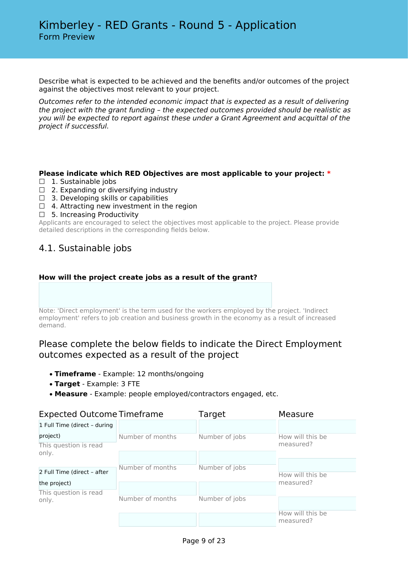Describe what is expected to be achieved and the benefits and/or outcomes of the project against the objectives most relevant to your project.

*Outcomes refer to the intended economic impact that is expected as a result of delivering the project with the grant funding – the expected outcomes provided should be realistic as you will be expected to report against these under a Grant Agreement and acquittal of the project if successful.*

### **Please indicate which RED Objectives are most applicable to your project: \***

- □ 1. Sustainable jobs
- $\Box$  2. Expanding or diversifying industry
- $\Box$  3. Developing skills or capabilities
- $\Box$  4. Attracting new investment in the region
- ☐ 5. Increasing Productivity

Applicants are encouraged to select the objectives most applicable to the project. Please provide detailed descriptions in the corresponding fields below.

### 4.1. Sustainable jobs

### **How will the project create jobs as a result of the grant?**

Note: 'Direct employment' is the term used for the workers employed by the project. 'Indirect employment' refers to job creation and business growth in the economy as a result of increased demand.

### Please complete the below fields to indicate the Direct Employment outcomes expected as a result of the project

- **Timeframe** Example: 12 months/ongoing
- **Target** Example: 3 FTE
- **Measure** Example: people employed/contractors engaged, etc.

| <b>Expected Outcome Timeframe</b> |                  | Target         | Measure                       |  |
|-----------------------------------|------------------|----------------|-------------------------------|--|
| 1 Full Time (direct - during      |                  |                |                               |  |
| project)                          | Number of months | Number of jobs | How will this be              |  |
| This question is read             |                  |                | measured?                     |  |
| only.                             |                  |                |                               |  |
|                                   | Number of months | Number of jobs |                               |  |
| 2 Full Time (direct - after       |                  |                | How will this be              |  |
| the project)                      |                  |                | measured?                     |  |
| This question is read             |                  |                |                               |  |
| only.                             | Number of months | Number of jobs |                               |  |
|                                   |                  |                | How will this be<br>measured? |  |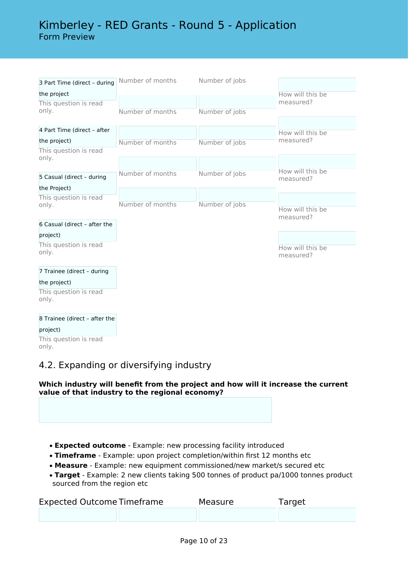# Kimberley - RED Grants - Round 5 - Application Form Preview

| 3 Part Time (direct - during  | Number of months | Number of jobs |                  |
|-------------------------------|------------------|----------------|------------------|
| the project                   |                  |                | How will this be |
| This question is read         |                  |                | measured?        |
| only.                         | Number of months | Number of jobs |                  |
|                               |                  |                |                  |
| 4 Part Time (direct - after   |                  |                | How will this be |
| the project)                  | Number of months | Number of jobs | measured?        |
| This question is read         |                  |                |                  |
| only.                         |                  |                |                  |
|                               | Number of months | Number of jobs | How will this be |
| 5 Casual (direct - during     |                  |                | measured?        |
| the Project)                  |                  |                |                  |
| This question is read         |                  |                |                  |
| only.                         | Number of months | Number of jobs | How will this be |
|                               |                  |                | measured?        |
| 6 Casual (direct - after the  |                  |                |                  |
| project)                      |                  |                |                  |
| This question is read         |                  |                | How will this be |
| only.                         |                  |                | measured?        |
|                               |                  |                |                  |
| 7 Trainee (direct - during    |                  |                |                  |
| the project)                  |                  |                |                  |
| This question is read         |                  |                |                  |
| only.                         |                  |                |                  |
| 8 Trainee (direct - after the |                  |                |                  |
|                               |                  |                |                  |

project) This question is read only.

# 4.2. Expanding or diversifying industry

### **Which industry will benefit from the project and how will it increase the current value of that industry to the regional economy?**

- **Expected outcome** Example: new processing facility introduced
- **Timeframe** Example: upon project completion/within first 12 months etc
- **Measure** Example: new equipment commissioned/new market/s secured etc
- **Target** Example: 2 new clients taking 500 tonnes of product pa/1000 tonnes product sourced from the region etc

| <b>Expected Outcome Timeframe</b> | Measure | Target |
|-----------------------------------|---------|--------|
|                                   |         |        |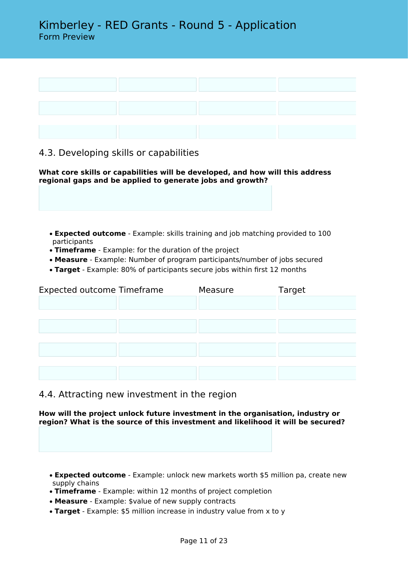

### 4.3. Developing skills or capabilities

**What core skills or capabilities will be developed, and how will this address regional gaps and be applied to generate jobs and growth?**

- **Expected outcome** Example: skills training and job matching provided to 100 participants
- **Timeframe** Example: for the duration of the project
- **Measure** Example: Number of program participants/number of jobs secured
- **Target** Example: 80% of participants secure jobs within first 12 months

| <b>Expected outcome Timeframe</b> | Measure | Target |
|-----------------------------------|---------|--------|
|                                   |         |        |
|                                   |         |        |
|                                   |         |        |
|                                   |         |        |
|                                   |         |        |
|                                   |         |        |
|                                   |         |        |

4.4. Attracting new investment in the region

**How will the project unlock future investment in the organisation, industry or region? What is the source of this investment and likelihood it will be secured?**

- **Expected outcome** Example: unlock new markets worth \$5 million pa, create new supply chains
- **Timeframe** Example: within 12 months of project completion
- **Measure** Example: \$value of new supply contracts
- **Target** Example: \$5 million increase in industry value from x to y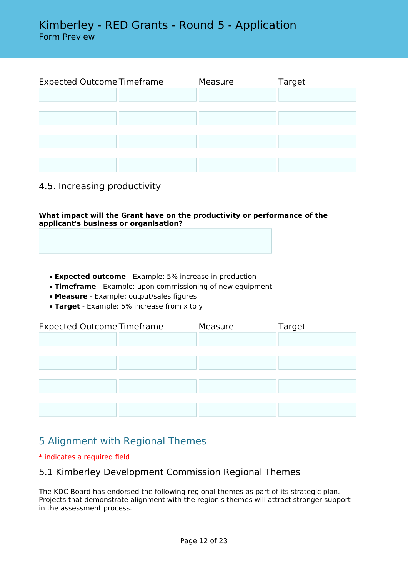| <b>Expected Outcome Timeframe</b> | Measure | Target |
|-----------------------------------|---------|--------|
|                                   |         |        |
|                                   |         |        |
|                                   |         |        |
|                                   |         |        |
|                                   |         |        |
|                                   |         |        |
|                                   |         |        |

### 4.5. Increasing productivity

**What impact will the Grant have on the productivity or performance of the applicant's business or organisation?**

- **Expected outcome** Example: 5% increase in production
- **Timeframe** Example: upon commissioning of new equipment
- **Measure** Example: output/sales figures
- **Target** Example: 5% increase from x to y

| <b>Expected Outcome Timeframe</b> |  | Measure | Target |  |  |  |
|-----------------------------------|--|---------|--------|--|--|--|
|                                   |  |         |        |  |  |  |
|                                   |  |         |        |  |  |  |
|                                   |  |         |        |  |  |  |
|                                   |  |         |        |  |  |  |
|                                   |  |         |        |  |  |  |
|                                   |  |         |        |  |  |  |
|                                   |  |         |        |  |  |  |

# 5 Alignment with Regional Themes

### \* indicates a required field

### 5.1 Kimberley Development Commission Regional Themes

The KDC Board has endorsed the following regional themes as part of its strategic plan. Projects that demonstrate alignment with the region's themes will attract stronger support in the assessment process.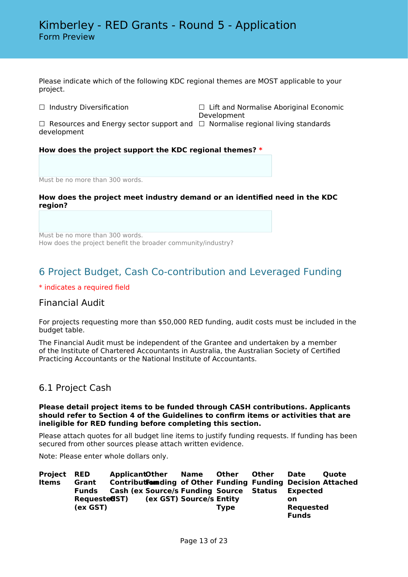Please indicate which of the following KDC regional themes are MOST applicable to your project.

☐ Industry Diversification ☐ Lift and Normalise Aboriginal Economic Development

 $\Box$  Resources and Energy sector support and  $\ \Box$  Normalise regional living standards development

### **How does the project support the KDC regional themes? \***

Must be no more than 300 words.

### **How does the project meet industry demand or an identified need in the KDC region?**

Must be no more than 300 words. How does the project benefit the broader community/industry?

# 6 Project Budget, Cash Co-contribution and Leveraged Funding

### \* indicates a required field

### Financial Audit

For projects requesting more than \$50,000 RED funding, audit costs must be included in the budget table.

The Financial Audit must be independent of the Grantee and undertaken by a member of the Institute of Chartered Accountants in Australia, the Australian Society of Certified Practicing Accountants or the National Institute of Accountants.

### 6.1 Project Cash

#### **Please detail project items to be funded through CASH contributions. Applicants should refer to Section 4 of the Guidelines to confirm items or activities that are ineligible for RED funding before completing this section.**

Please attach quotes for all budget line items to justify funding requests. If funding has been secured from other sources please attach written evidence.

Note: Please enter whole dollars only.

| <b>Project RED</b> |                       | <b>ApplicantOther</b> | Name                                            | Other       | <b>Other</b> | Date             | <b>Ouote</b>                                                        |
|--------------------|-----------------------|-----------------------|-------------------------------------------------|-------------|--------------|------------------|---------------------------------------------------------------------|
| Items              | Grant                 |                       |                                                 |             |              |                  | <b>Contributformding of Other Funding Funding Decision Attached</b> |
|                    | <b>Funds</b>          |                       | <b>Cash (ex Source/s Funding Source Status)</b> |             |              | Expected         |                                                                     |
|                    | Requeste <b>G</b> ST) |                       | (ex GST) Source/s Entity                        |             |              | on               |                                                                     |
|                    | (ex GST)              |                       |                                                 | <b>Type</b> |              | <b>Requested</b> |                                                                     |
|                    |                       |                       |                                                 |             |              | <b>Funds</b>     |                                                                     |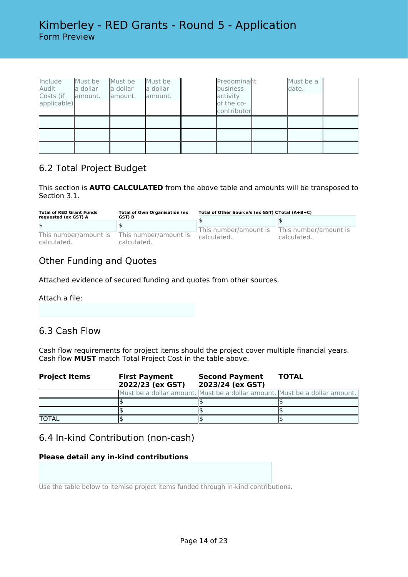| Include<br>Audit<br>Costs (if<br>applicable) | Must be<br>la dollar<br>lamount. | Must be<br>a dollar<br>amount. | Must be<br>a dollar<br>amount. | Predominant<br>business<br>activity<br>of the co-<br>contributor | Must be a<br>date. |  |
|----------------------------------------------|----------------------------------|--------------------------------|--------------------------------|------------------------------------------------------------------|--------------------|--|
|                                              |                                  |                                |                                |                                                                  |                    |  |
|                                              |                                  |                                |                                |                                                                  |                    |  |
|                                              |                                  |                                |                                |                                                                  |                    |  |

### 6.2 Total Project Budget

This section is **AUTO CALCULATED** from the above table and amounts will be transposed to Section 3.1.

| <b>Total of RED Grant Funds</b><br>requested (ex GST) A | <b>Total of Own Organisation (ex</b><br>GST) B | Total of Other Source/s (ex GST) CTotal (A+B+C) |                                      |  |
|---------------------------------------------------------|------------------------------------------------|-------------------------------------------------|--------------------------------------|--|
|                                                         |                                                |                                                 |                                      |  |
| \$                                                      |                                                |                                                 |                                      |  |
| This number/amount is<br>calculated.                    | This number/amount is<br>calculated.           | This number/amount is<br>calculated.            | This number/amount is<br>calculated. |  |

# Other Funding and Quotes

Attached evidence of secured funding and quotes from other sources.

Attach a file:

# 6.3 Cash Flow

Cash flow requirements for project items should the project cover multiple financial years. Cash flow **MUST** match Total Project Cost in the table above.

| <b>Project Items</b> | <b>First Payment</b><br>2022/23 (ex GST) | <b>Second Payment</b><br>2023/24 (ex GST)                                  | <b>TOTAL</b> |
|----------------------|------------------------------------------|----------------------------------------------------------------------------|--------------|
|                      |                                          | Must be a dollar amount. Must be a dollar amount. Must be a dollar amount. |              |
|                      |                                          |                                                                            |              |
|                      |                                          |                                                                            |              |
| <b>TOTAL</b>         |                                          |                                                                            |              |

# 6.4 In-kind Contribution (non-cash)

### **Please detail any in-kind contributions**

Use the table below to itemise project items funded through in-kind contributions.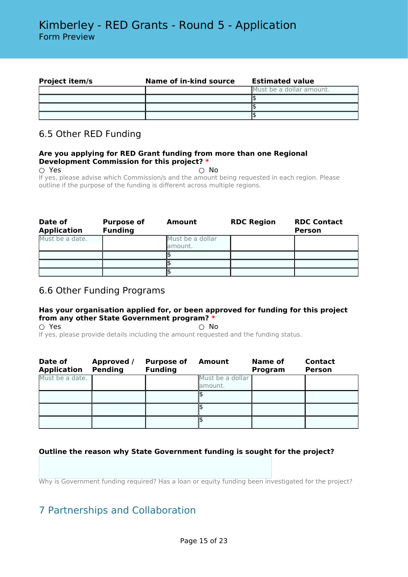| <b>Project item/s</b> | Name of in-kind source | <b>Estimated value</b>   |
|-----------------------|------------------------|--------------------------|
|                       |                        | Must be a dollar amount. |
|                       |                        |                          |
|                       |                        |                          |
|                       |                        |                          |

## 6.5 Other RED Funding

### **Are you applying for RED Grant funding from more than one Regional Development Commission for this project? \***

 $\bigcirc$  Yes  $\bigcirc$  No If yes, please advise which Commission/s and the amount being requested in each region. Please outline if the purpose of the funding is different across multiple regions.

| Date of<br><b>Application</b> | <b>Purpose of</b><br><b>Funding</b> | Amount                      | <b>RDC Region</b> | <b>RDC Contact</b><br><b>Person</b> |
|-------------------------------|-------------------------------------|-----------------------------|-------------------|-------------------------------------|
| Must be a date.               |                                     | Must be a dollar<br>amount. |                   |                                     |
|                               |                                     |                             |                   |                                     |
|                               |                                     |                             |                   |                                     |
|                               |                                     |                             |                   |                                     |

### 6.6 Other Funding Programs

### **Has your organisation applied for, or been approved for funding for this project from any other State Government program? \***

 $\bigcirc$  Yes  $\bigcirc$  No If yes, please provide details including the amount requested and the funding status.

| Date of<br><b>Application</b> | Approved /<br><b>Pending</b> | <b>Purpose of</b><br><b>Funding</b> | Amount                       | Name of<br>Program | <b>Contact</b><br><b>Person</b> |
|-------------------------------|------------------------------|-------------------------------------|------------------------------|--------------------|---------------------------------|
| Must be a date.               |                              |                                     | Must be a dollar<br>lamount. |                    |                                 |
|                               |                              |                                     |                              |                    |                                 |
|                               |                              |                                     |                              |                    |                                 |
|                               |                              |                                     |                              |                    |                                 |

### **Outline the reason why State Government funding is sought for the project?**

Why is Government funding required? Has a loan or equity funding been investigated for the project?

# 7 Partnerships and Collaboration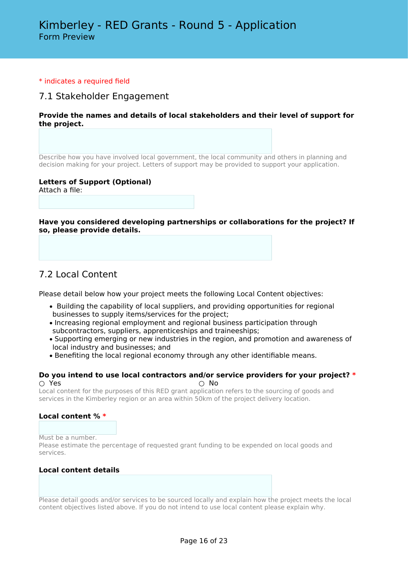### \* indicates a required field

### 7.1 Stakeholder Engagement

### **Provide the names and details of local stakeholders and their level of support for the project.**

Describe how you have involved local government, the local community and others in planning and decision making for your project. Letters of support may be provided to support your application.

### **Letters of Support (Optional)**

Attach a file:

**Have you considered developing partnerships or collaborations for the project? If so, please provide details.**

### 7.2 Local Content

Please detail below how your project meets the following Local Content objectives:

- Building the capability of local suppliers, and providing opportunities for regional businesses to supply items/services for the project;
- Increasing regional employment and regional business participation through subcontractors, suppliers, apprenticeships and traineeships;
- Supporting emerging or new industries in the region, and promotion and awareness of local industry and businesses; and
- Benefiting the local regional economy through any other identifiable means.

#### **Do you intend to use local contractors and/or service providers for your project? \***  $\bigcirc$  Yes  $\bigcirc$  No

Local content for the purposes of this RED grant application refers to the sourcing of goods and services in the Kimberley region or an area within 50km of the project delivery location.

### **Local content % \***

Must be a number.

Please estimate the percentage of requested grant funding to be expended on local goods and services.

### **Local content details**

Please detail goods and/or services to be sourced locally and explain how the project meets the local content objectives listed above. If you do not intend to use local content please explain why.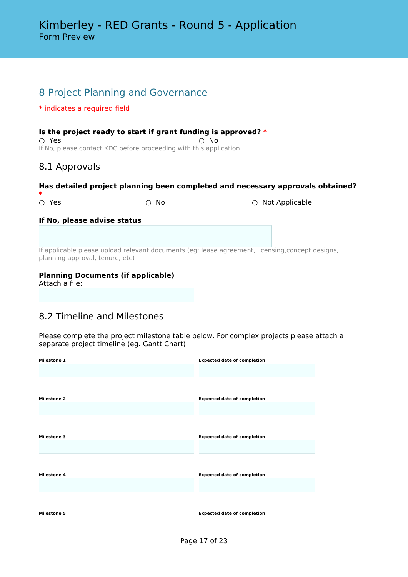# 8 Project Planning and Governance

### \* indicates a required field

### **Is the project ready to start if grant funding is approved? \***

 $\bigcirc$  Yes  $\bigcirc$  No If No, please contact KDC before proceeding with this application.

### 8.1 Approvals

### **Has detailed project planning been completed and necessary approvals obtained?**

If applicable please upload relevant documents (eg: lease agreement, licensing,concept designs, planning approval, tenure, etc)

### **Planning Documents (if applicable)**

Attach a file:

# 8.2 Timeline and Milestones

Please complete the project milestone table below. For complex projects please attach a separate project timeline (eg. Gantt Chart)

| <b>Milestone 1</b> | <b>Expected date of completion</b> |
|--------------------|------------------------------------|
| <b>Milestone 2</b> | <b>Expected date of completion</b> |
| <b>Milestone 3</b> | <b>Expected date of completion</b> |
| <b>Milestone 4</b> | <b>Expected date of completion</b> |
| <b>Milestone 5</b> | <b>Expected date of completion</b> |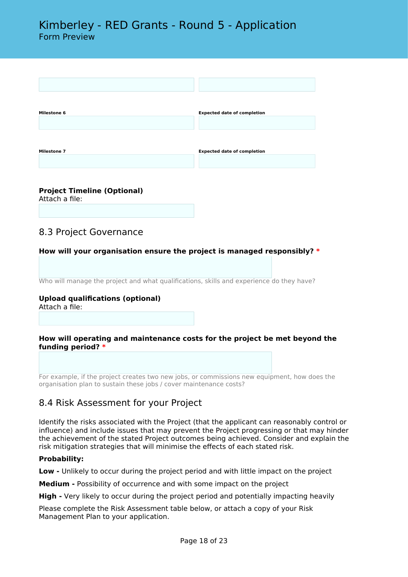

# **Project Timeline (Optional)**

Attach a file:

# 8.3 Project Governance

### **How will your organisation ensure the project is managed responsibly? \***

Who will manage the project and what qualifications, skills and experience do they have?

# **Upload qualifications (optional)**

Attach a file:

### **How will operating and maintenance costs for the project be met beyond the funding period? \***

For example, if the project creates two new jobs, or commissions new equipment, how does the organisation plan to sustain these jobs / cover maintenance costs?

### 8.4 Risk Assessment for your Project

Identify the risks associated with the Project (that the applicant can reasonably control or influence) and include issues that may prevent the Project progressing or that may hinder the achievement of the stated Project outcomes being achieved. Consider and explain the risk mitigation strategies that will minimise the effects of each stated risk.

### **Probability:**

**Low -** Unlikely to occur during the project period and with little impact on the project

**Medium -** Possibility of occurrence and with some impact on the project

**High -** Very likely to occur during the project period and potentially impacting heavily

Please complete the Risk Assessment table below, or attach a copy of your Risk Management Plan to your application.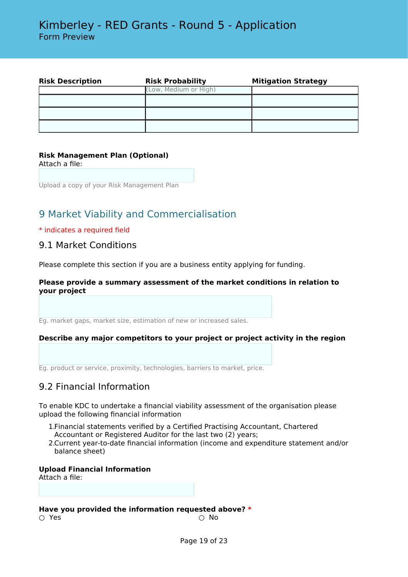| <b>Risk Description</b> | <b>Risk Probability</b> | <b>Mitigation Strategy</b> |
|-------------------------|-------------------------|----------------------------|
|                         | (Low, Medium or High)   |                            |
|                         |                         |                            |
|                         |                         |                            |
|                         |                         |                            |

### **Risk Management Plan (Optional)**

Attach a file:

Upload a copy of your Risk Management Plan

# 9 Market Viability and Commercialisation

#### \* indicates a required field

### 9.1 Market Conditions

Please complete this section if you are a business entity applying for funding.

### **Please provide a summary assessment of the market conditions in relation to your project**

Eg. market gaps, market size, estimation of new or increased sales.

### **Describe any major competitors to your project or project activity in the region**

Eg. product or service, proximity, technologies, barriers to market, price.

### 9.2 Financial Information

To enable KDC to undertake a financial viability assessment of the organisation please upload the following financial information

- 1.Financial statements verified by a Certified Practising Accountant, Chartered Accountant or Registered Auditor for the last two (2) years;
- 2.Current year-to-date financial information (income and expenditure statement and/or balance sheet)

### **Upload Financial Information**

Attach a file:

#### **Have you provided the information requested above? \***

 $\bigcirc$  Yes  $\bigcirc$  No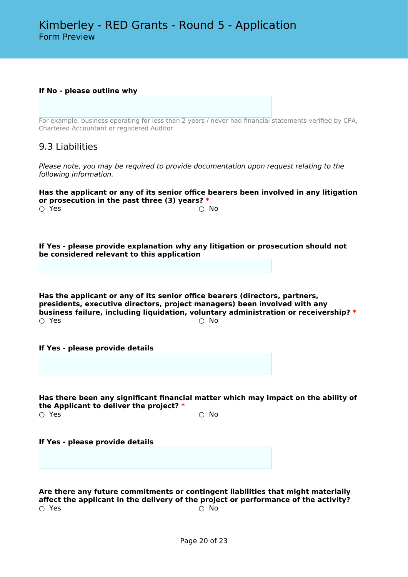**If No - please outline why**

For example, business operating for less than 2 years / never had financial statements verified by CPA, Chartered Accountant or registered Auditor.

### 9.3 Liabilities

*Please note, you may be required to provide documentation upon request relating to the following information.*

#### **Has the applicant or any of its senior office bearers been involved in any litigation or prosecution in the past three (3) years? \***  $\bigcirc$  Yes  $\bigcirc$  No

**If Yes - please provide explanation why any litigation or prosecution should not be considered relevant to this application**

**Has the applicant or any of its senior office bearers (directors, partners, presidents, executive directors, project managers) been involved with any business failure, including liquidation, voluntary administration or receivership?**  $*$ <br>  $\bigcirc$  Yes  $\bigcirc$  Yes  $\bigcirc$  No

**If Yes - please provide details**

**Has there been any significant financial matter which may impact on the ability of the Applicant to deliver the project? \*** ○ Yes ○ No

#### **If Yes - please provide details**

**Are there any future commitments or contingent liabilities that might materially affect the applicant in the delivery of the project or performance of the activity?**  $\bigcirc$  Yes  $\bigcirc$  No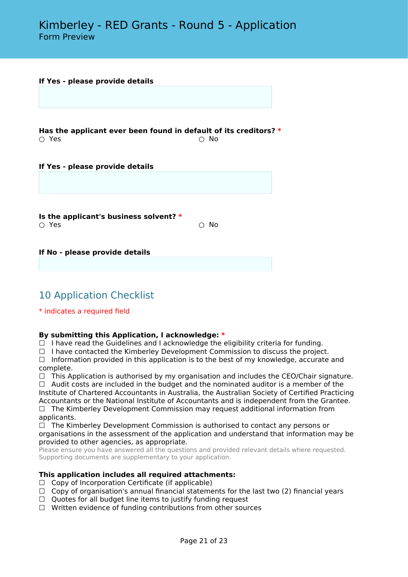#### **If Yes - please provide details**

**Has the applicant ever been found in default of its creditors? <sup>\*</sup> ○ Yes**  $\bigcirc$  Yes  $\bigcirc$  No

**If Yes - please provide details**

**Is the applicant's business solvent? \***  $\bigcirc$  Yes  $\bigcirc$  No

**If No - please provide details**

# 10 Application Checklist

\* indicates a required field

### **By submitting this Application, I acknowledge: \***

 $\Box$  I have read the Guidelines and I acknowledge the eligibility criteria for funding.

 $\Box$  I have contacted the Kimberley Development Commission to discuss the project.

 $\Box$  Information provided in this application is to the best of my knowledge, accurate and complete.

 $\Box$  This Application is authorised by my organisation and includes the CEO/Chair signature.  $\Box$  Audit costs are included in the budget and the nominated auditor is a member of the Institute of Chartered Accountants in Australia, the Australian Society of Certified Practicing Accountants or the National Institute of Accountants and is independent from the Grantee.  $\Box$  The Kimberley Development Commission may request additional information from applicants.

 $\Box$  The Kimberley Development Commission is authorised to contact any persons or organisations in the assessment of the application and understand that information may be provided to other agencies, as appropriate.

Please ensure you have answered all the questions and provided relevant details where requested. Supporting documents are supplementary to your application.

### **This application includes all required attachments:**

- □ Copy of Incorporation Certificate (if applicable)
- $\Box$  Copy of organisation's annual financial statements for the last two (2) financial years
- $\Box$  Quotes for all budget line items to justify funding request
- ☐ Written evidence of funding contributions from other sources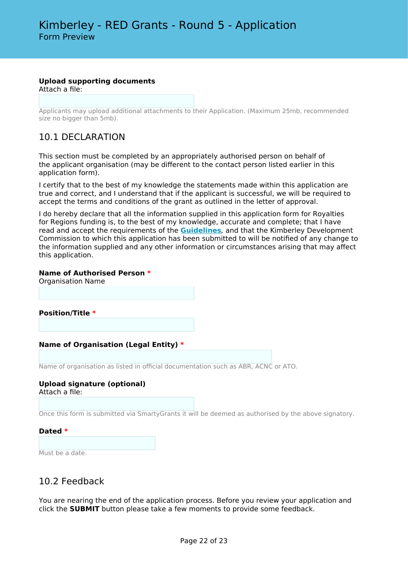### **Upload supporting documents**

Attach a file:

Applicants may upload additional attachments to their Application. (Maximum 25mb, recommended size no bigger than 5mb).

### 10.1 DECLARATION

This section must be completed by an appropriately authorised person on behalf of the applicant organisation (may be different to the contact person listed earlier in this application form).

I certify that to the best of my knowledge the statements made within this application are true and correct, and I understand that if the applicant is successful, we will be required to accept the terms and conditions of the grant as outlined in the letter of approval.

I do hereby declare that all the information supplied in this application form for Royalties for Regions funding is, to the best of my knowledge, accurate and complete; that I have read and accept the requirements of the **[Guidelines](https://kdc.wa.gov.au/red-grants/)***,* and that the Kimberley Development Commission to which this application has been submitted to will be notified of any change to the information supplied and any other information or circumstances arising that may affect this application.

### **Name of Authorised Person \***

Organisation Name

**Position/Title \***

### **Name of Organisation (Legal Entity) \***

Name of organisation as listed in official documentation such as ABR, ACNC or ATO.

#### **Upload signature (optional)** Attach a file:

Once this form is submitted via SmartyGrants it will be deemed as authorised by the above signatory.

### **Dated \***

Must be a date.

### 10.2 Feedback

You are nearing the end of the application process. Before you review your application and click the **SUBMIT** button please take a few moments to provide some feedback.